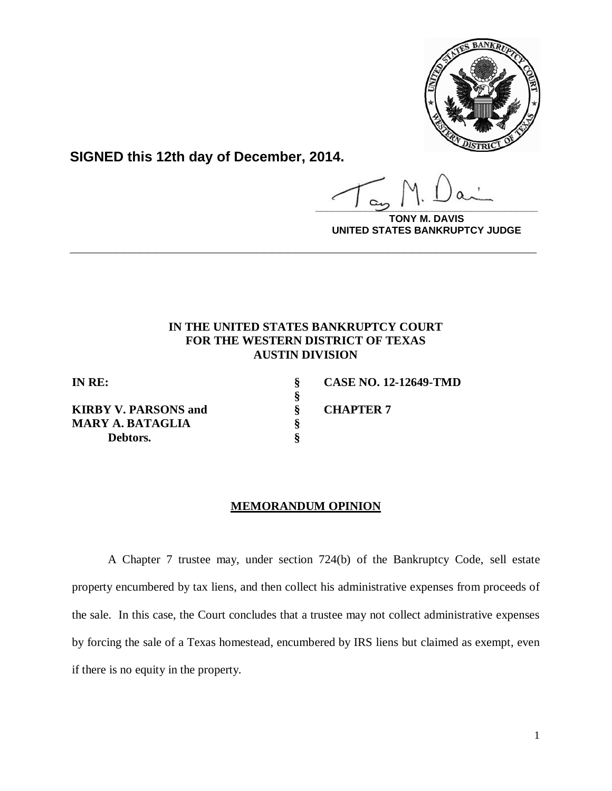

**SIGNED this 12th day of December, 2014.**

**\_\_\_\_\_\_\_\_\_\_\_\_\_\_\_\_\_\_\_\_\_\_\_\_\_\_\_\_\_\_\_\_\_\_\_\_\_\_\_\_**

**DAVIS UNITED STATES BANKRUPTCY JUDGE**

# **IN THE UNITED STATES BANKRUPTCY COURT FOR THE WESTERN DISTRICT OF TEXAS AUSTIN DIVISION**

**\_\_\_\_\_\_\_\_\_\_\_\_\_\_\_\_\_\_\_\_\_\_\_\_\_\_\_\_\_\_\_\_\_\_\_\_\_\_\_\_\_\_\_\_\_\_\_\_\_\_\_\_\_\_\_\_\_\_\_\_**

**§**

**KIRBY V. PARSONS and**  $\qquad \qquad$  **<b>\$** CHAPTER 7 **MARY A. BATAGLIA § Debtors. §**

**IN RE: § CASE NO. 12-12649-TMD**

## **MEMORANDUM OPINION**

A Chapter 7 trustee may, under section 724(b) of the Bankruptcy Code, sell estate property encumbered by tax liens, and then collect his administrative expenses from proceeds of the sale. In this case, the Court concludes that a trustee may not collect administrative expenses by forcing the sale of a Texas homestead, encumbered by IRS liens but claimed as exempt, even if there is no equity in the property.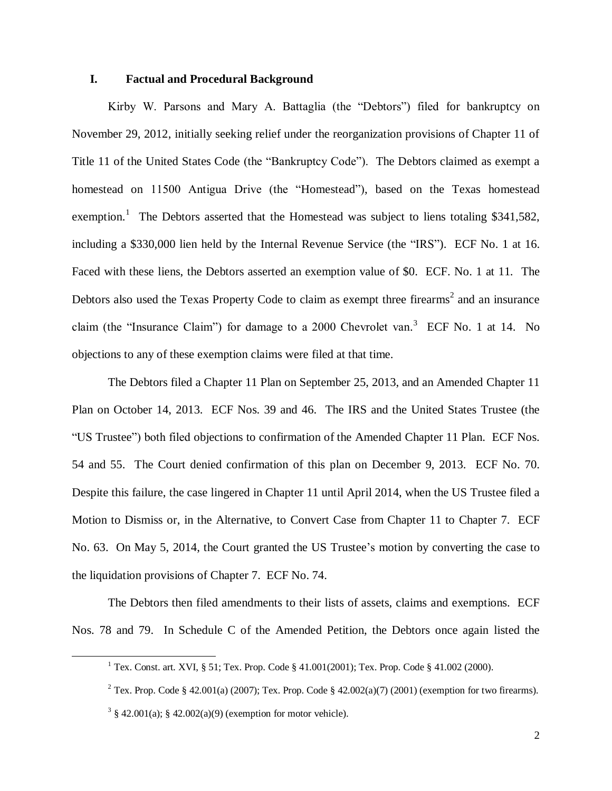### **I. Factual and Procedural Background**

Kirby W. Parsons and Mary A. Battaglia (the "Debtors") filed for bankruptcy on November 29, 2012, initially seeking relief under the reorganization provisions of Chapter 11 of Title 11 of the United States Code (the "Bankruptcy Code"). The Debtors claimed as exempt a homestead on 11500 Antigua Drive (the "Homestead"), based on the Texas homestead exemption.<sup>1</sup> The Debtors asserted that the Homestead was subject to liens totaling \$341,582, including a \$330,000 lien held by the Internal Revenue Service (the "IRS"). ECF No. 1 at 16. Faced with these liens, the Debtors asserted an exemption value of \$0. ECF. No. 1 at 11. The Debtors also used the Texas Property Code to claim as exempt three firearms<sup>2</sup> and an insurance claim (the "Insurance Claim") for damage to a 2000 Chevrolet van. 3 ECF No. 1 at 14.No objections to any of these exemption claims were filed at that time.

The Debtors filed a Chapter 11 Plan on September 25, 2013, and an Amended Chapter 11 Plan on October 14, 2013. ECF Nos. 39 and 46. The IRS and the United States Trustee (the "US Trustee") both filed objections to confirmation of the Amended Chapter 11 Plan. ECF Nos. 54 and 55. The Court denied confirmation of this plan on December 9, 2013. ECF No. 70. Despite this failure, the case lingered in Chapter 11 until April 2014, when the US Trustee filed a Motion to Dismiss or, in the Alternative, to Convert Case from Chapter 11 to Chapter 7. ECF No. 63. On May 5, 2014, the Court granted the US Trustee's motion by converting the case to the liquidation provisions of Chapter 7. ECF No. 74.

The Debtors then filed amendments to their lists of assets, claims and exemptions. ECF Nos. 78 and 79. In Schedule C of the Amended Petition, the Debtors once again listed the

 $\overline{\phantom{a}}$ 

<sup>&</sup>lt;sup>1</sup> Tex. Const. art. XVI, § 51; Tex. Prop. Code § 41.001(2001); Tex. Prop. Code § 41.002 (2000).

<sup>&</sup>lt;sup>2</sup> Tex. Prop. Code § 42.001(a) (2007); Tex. Prop. Code § 42.002(a)(7) (2001) (exemption for two firearms).

 $3 \S 42.001(a); \S 42.002(a)(9)$  (exemption for motor vehicle).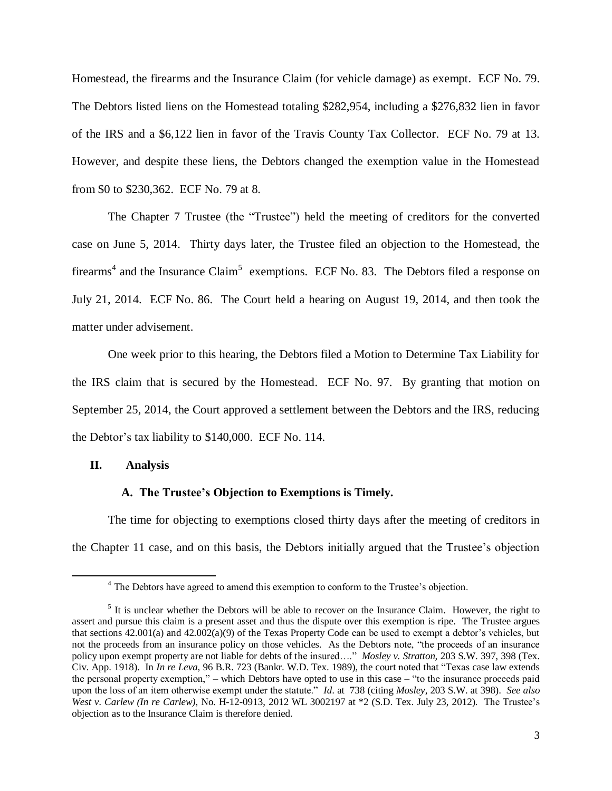Homestead, the firearms and the Insurance Claim (for vehicle damage) as exempt. ECF No. 79. The Debtors listed liens on the Homestead totaling \$282,954, including a \$276,832 lien in favor of the IRS and a \$6,122 lien in favor of the Travis County Tax Collector. ECF No. 79 at 13. However, and despite these liens, the Debtors changed the exemption value in the Homestead from \$0 to \$230,362. ECF No. 79 at 8.

The Chapter 7 Trustee (the "Trustee") held the meeting of creditors for the converted case on June 5, 2014. Thirty days later, the Trustee filed an objection to the Homestead, the firearms<sup>4</sup> and the Insurance Claim<sup>5</sup> exemptions. ECF No. 83. The Debtors filed a response on July 21, 2014. ECF No. 86. The Court held a hearing on August 19, 2014, and then took the matter under advisement.

One week prior to this hearing, the Debtors filed a Motion to Determine Tax Liability for the IRS claim that is secured by the Homestead. ECF No. 97. By granting that motion on September 25, 2014, the Court approved a settlement between the Debtors and the IRS, reducing the Debtor's tax liability to \$140,000. ECF No. 114.

## **II. Analysis**

 $\overline{a}$ 

## **A. The Trustee's Objection to Exemptions is Timely.**

The time for objecting to exemptions closed thirty days after the meeting of creditors in the Chapter 11 case, and on this basis, the Debtors initially argued that the Trustee's objection

<sup>&</sup>lt;sup>4</sup> The Debtors have agreed to amend this exemption to conform to the Trustee's objection.

 $<sup>5</sup>$  It is unclear whether the Debtors will be able to recover on the Insurance Claim. However, the right to</sup> assert and pursue this claim is a present asset and thus the dispute over this exemption is ripe. The Trustee argues that sections 42.001(a) and 42.002(a)(9) of the Texas Property Code can be used to exempt a debtor's vehicles, but not the proceeds from an insurance policy on those vehicles. As the Debtors note, "the proceeds of an insurance policy upon exempt property are not liable for debts of the insured…." *Mosley v. Stratton,* 203 S.W. 397, 398 (Tex. Civ. App. 1918). In *In re Leva*, 96 B.R. 723 (Bankr. W.D. Tex. 1989), the court noted that "Texas case law extends the personal property exemption," – which Debtors have opted to use in this case – "to the insurance proceeds paid upon the loss of an item otherwise exempt under the statute." *Id*. at 738 (citing *Mosley*, 203 S.W. at 398). *See also West v. Carlew (In re Carlew)*, No. H-12-0913, 2012 WL 3002197 at \*2 (S.D. Tex. July 23, 2012). The Trustee's objection as to the Insurance Claim is therefore denied.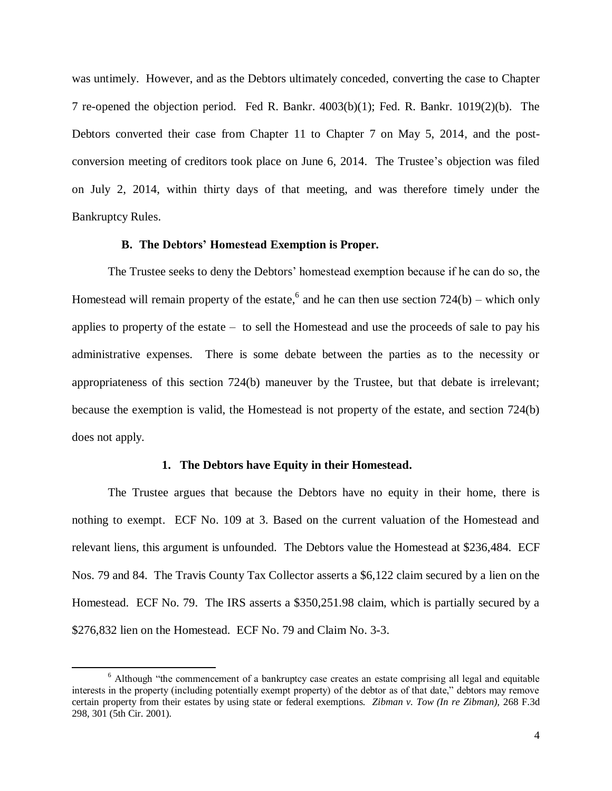was untimely. However, and as the Debtors ultimately conceded, converting the case to Chapter 7 re-opened the objection period. Fed R. Bankr. 4003(b)(1); Fed. R. Bankr. 1019(2)(b). The Debtors converted their case from Chapter 11 to Chapter 7 on May 5, 2014, and the postconversion meeting of creditors took place on June 6, 2014. The Trustee's objection was filed on July 2, 2014, within thirty days of that meeting, and was therefore timely under the Bankruptcy Rules.

#### **B. The Debtors' Homestead Exemption is Proper.**

The Trustee seeks to deny the Debtors' homestead exemption because if he can do so, the Homestead will remain property of the estate,<sup>6</sup> and he can then use section  $724(b)$  – which only applies to property of the estate – to sell the Homestead and use the proceeds of sale to pay his administrative expenses. There is some debate between the parties as to the necessity or appropriateness of this section 724(b) maneuver by the Trustee, but that debate is irrelevant; because the exemption is valid, the Homestead is not property of the estate, and section 724(b) does not apply.

#### **1. The Debtors have Equity in their Homestead.**

The Trustee argues that because the Debtors have no equity in their home, there is nothing to exempt. ECF No. 109 at 3. Based on the current valuation of the Homestead and relevant liens, this argument is unfounded. The Debtors value the Homestead at \$236,484. ECF Nos. 79 and 84. The Travis County Tax Collector asserts a \$6,122 claim secured by a lien on the Homestead. ECF No. 79. The IRS asserts a \$350,251.98 claim, which is partially secured by a \$276,832 lien on the Homestead. ECF No. 79 and Claim No. 3-3.

 $\overline{\phantom{a}}$ 

<sup>&</sup>lt;sup>6</sup> Although "the commencement of a bankruptcy case creates an estate comprising all legal and equitable interests in the property (including potentially exempt property) of the debtor as of that date," debtors may remove certain property from their estates by using state or federal exemptions. *Zibman v. Tow (In re Zibman),* 268 F.3d 298, 301 (5th Cir. 2001).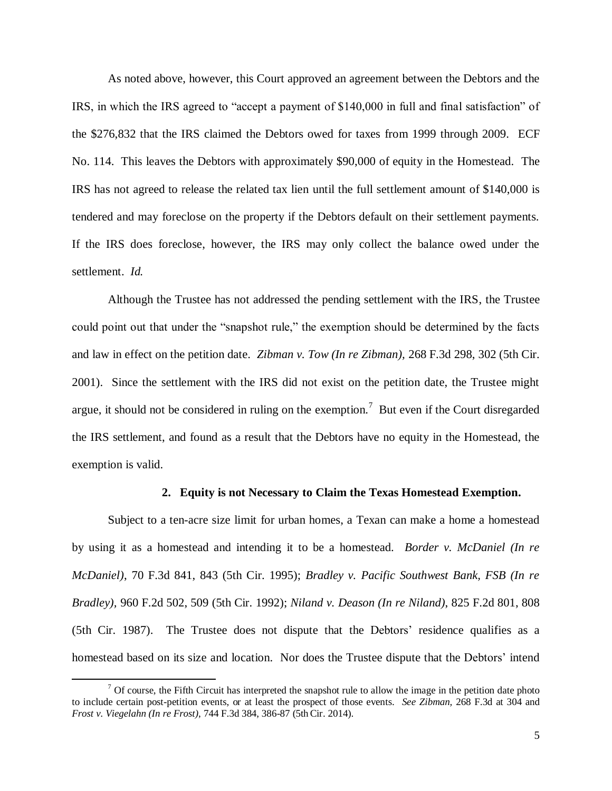As noted above, however, this Court approved an agreement between the Debtors and the IRS, in which the IRS agreed to "accept a payment of \$140,000 in full and final satisfaction" of the \$276,832 that the IRS claimed the Debtors owed for taxes from 1999 through 2009. ECF No. 114. This leaves the Debtors with approximately \$90,000 of equity in the Homestead. The IRS has not agreed to release the related tax lien until the full settlement amount of \$140,000 is tendered and may foreclose on the property if the Debtors default on their settlement payments. If the IRS does foreclose, however, the IRS may only collect the balance owed under the settlement. *Id.*

Although the Trustee has not addressed the pending settlement with the IRS, the Trustee could point out that under the "snapshot rule," the exemption should be determined by the facts and law in effect on the petition date. *Zibman v. Tow (In re Zibman),* 268 F.3d 298, 302 (5th Cir. 2001). Since the settlement with the IRS did not exist on the petition date, the Trustee might argue, it should not be considered in ruling on the exemption.<sup>7</sup> But even if the Court disregarded the IRS settlement, and found as a result that the Debtors have no equity in the Homestead, the exemption is valid.

### **2. Equity is not Necessary to Claim the Texas Homestead Exemption.**

Subject to a ten-acre size limit for urban homes, a Texan can make a home a homestead by using it as a homestead and intending it to be a homestead. *Border v. McDaniel (In re McDaniel)*, 70 F.3d 841, 843 (5th Cir. 1995); *Bradley v. Pacific Southwest Bank, FSB (In re Bradley),* 960 F.2d 502, 509 (5th Cir. 1992); *Niland v. Deason (In re Niland)*, 825 F.2d 801, 808 (5th Cir. 1987). The Trustee does not dispute that the Debtors' residence qualifies as a homestead based on its size and location. Nor does the Trustee dispute that the Debtors' intend

 $\overline{a}$ 

 $<sup>7</sup>$  Of course, the Fifth Circuit has interpreted the snapshot rule to allow the image in the petition date photo</sup> to include certain post-petition events, or at least the prospect of those events. *See Zibman,* 268 F.3d at 304 and *Frost v. Viegelahn (In re Frost)*, 744 F.3d 384, 386-87 (5th Cir. 2014).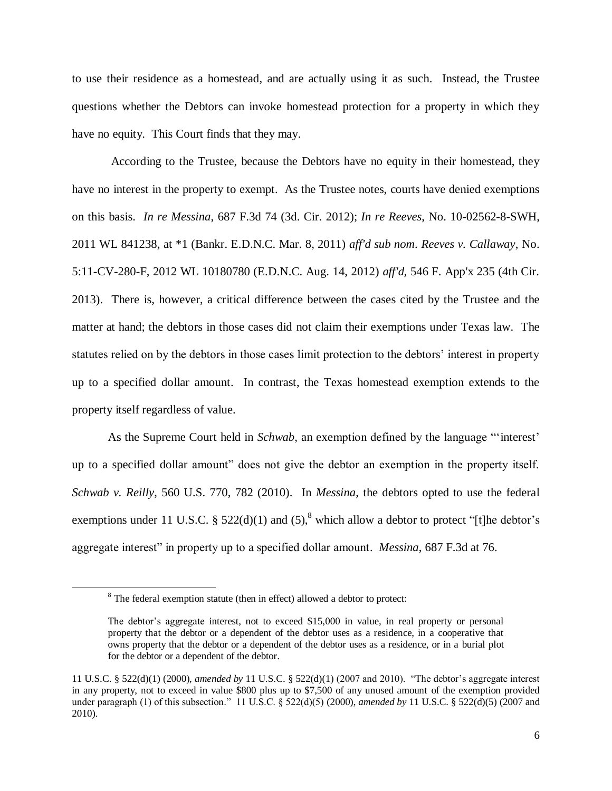to use their residence as a homestead, and are actually using it as such. Instead, the Trustee questions whether the Debtors can invoke homestead protection for a property in which they have no equity. This Court finds that they may.

According to the Trustee, because the Debtors have no equity in their homestead, they have no interest in the property to exempt. As the Trustee notes, courts have denied exemptions on this basis. *In re Messina*, 687 F.3d 74 (3d. Cir. 2012); *In re Reeves*, No. 10-02562-8-SWH, 2011 WL 841238, at \*1 (Bankr. E.D.N.C. Mar. 8, 2011) *aff'd sub nom*. *Reeves v. Callaway*, No. 5:11-CV-280-F, 2012 WL 10180780 (E.D.N.C. Aug. 14, 2012) *aff'd,* 546 F. App'x 235 (4th Cir. 2013). There is, however, a critical difference between the cases cited by the Trustee and the matter at hand; the debtors in those cases did not claim their exemptions under Texas law. The statutes relied on by the debtors in those cases limit protection to the debtors' interest in property up to a specified dollar amount. In contrast, the Texas homestead exemption extends to the property itself regardless of value.

As the Supreme Court held in *Schwab*, an exemption defined by the language "'interest' up to a specified dollar amount" does not give the debtor an exemption in the property itself. *Schwab v. Reilly*, 560 U.S. 770, 782 (2010). In *Messina*, the debtors opted to use the federal exemptions under 11 U.S.C. §  $522(d)(1)$  and  $(5)$ ,<sup>8</sup> which allow a debtor to protect "[t]he debtor's aggregate interest" in property up to a specified dollar amount. *Messina*, 687 F.3d at 76.

 $\overline{a}$ 

<sup>&</sup>lt;sup>8</sup> The federal exemption statute (then in effect) allowed a debtor to protect:

The debtor's aggregate interest, not to exceed \$15,000 in value, in real property or personal property that the debtor or a dependent of the debtor uses as a residence, in a cooperative that owns property that the debtor or a dependent of the debtor uses as a residence, or in a burial plot for the debtor or a dependent of the debtor.

<sup>11</sup> U.S.C. § 522(d)(1) (2000), *amended by* 11 U.S.C. § 522(d)(1) (2007 and 2010). "The debtor's aggregate interest in any property, not to exceed in value \$800 plus up to \$7,500 of any unused amount of the exemption provided under paragraph (1) of this subsection." 11 U.S.C. § 522(d)(5) (2000), *amended by* 11 U.S.C. § 522(d)(5) (2007 and 2010).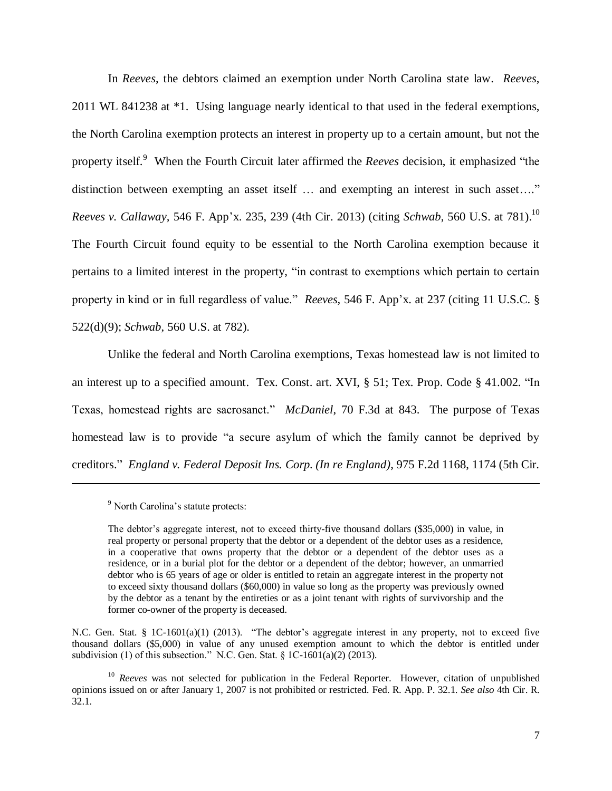In *Reeves*, the debtors claimed an exemption under North Carolina state law. *Reeves*, 2011 WL 841238 at \*1. Using language nearly identical to that used in the federal exemptions, the North Carolina exemption protects an interest in property up to a certain amount, but not the property itself.<sup>9</sup> When the Fourth Circuit later affirmed the *Reeves* decision, it emphasized "the distinction between exempting an asset itself … and exempting an interest in such asset…." *Reeves v. Callaway,* 546 F. App'x. 235, 239 (4th Cir. 2013) (citing *Schwab*, 560 U.S. at 781).<sup>10</sup> The Fourth Circuit found equity to be essential to the North Carolina exemption because it pertains to a limited interest in the property, "in contrast to exemptions which pertain to certain property in kind or in full regardless of value." *Reeves,* 546 F. App'x. at 237 (citing 11 U.S.C. § 522(d)(9); *Schwab*, 560 U.S. at 782).

Unlike the federal and North Carolina exemptions, Texas homestead law is not limited to an interest up to a specified amount. Tex. Const. art. XVI, § 51; Tex. Prop. Code § 41.002. "In Texas, homestead rights are sacrosanct." *McDaniel*, 70 F.3d at 843. The purpose of Texas homestead law is to provide "a secure asylum of which the family cannot be deprived by creditors." *England v. Federal Deposit Ins. Corp. (In re England)*, 975 F.2d 1168, 1174 (5th Cir.

 $\overline{a}$ 

N.C. Gen. Stat. § 1C-1601(a)(1) (2013). "The debtor's aggregate interest in any property, not to exceed five thousand dollars (\$5,000) in value of any unused exemption amount to which the debtor is entitled under subdivision (1) of this subsection." N.C. Gen. Stat.  $\S$  1C-1601(a)(2) (2013).

<sup>&</sup>lt;sup>9</sup> North Carolina's statute protects:

The debtor's aggregate interest, not to exceed thirty-five thousand dollars (\$35,000) in value, in real property or personal property that the debtor or a dependent of the debtor uses as a residence, in a cooperative that owns property that the debtor or a dependent of the debtor uses as a residence, or in a burial plot for the debtor or a dependent of the debtor; however, an unmarried debtor who is 65 years of age or older is entitled to retain an aggregate interest in the property not to exceed sixty thousand dollars (\$60,000) in value so long as the property was previously owned by the debtor as a tenant by the entireties or as a joint tenant with rights of survivorship and the former co-owner of the property is deceased.

<sup>&</sup>lt;sup>10</sup> *Reeves* was not selected for publication in the Federal Reporter. However, citation of unpublished opinions issued on or after January 1, 2007 is not prohibited or restricted. Fed. R. App. P. 32.1. *See also* 4th Cir. R. 32.1.